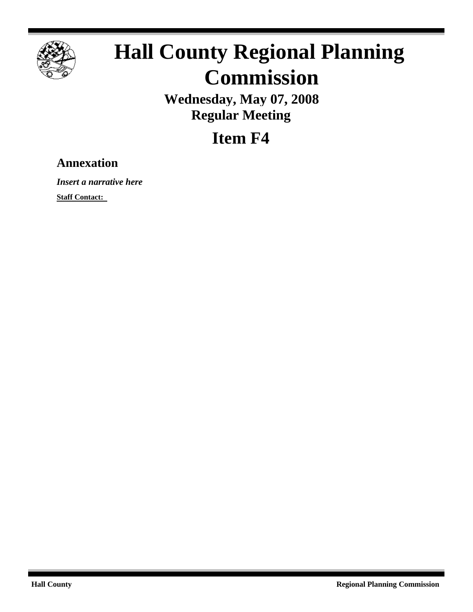

# **Hall County Regional Planning Commission**

**Wednesday, May 07, 2008 Regular Meeting**

**Item F4**

# **Annexation**

*Insert a narrative here*

**Staff Contact:**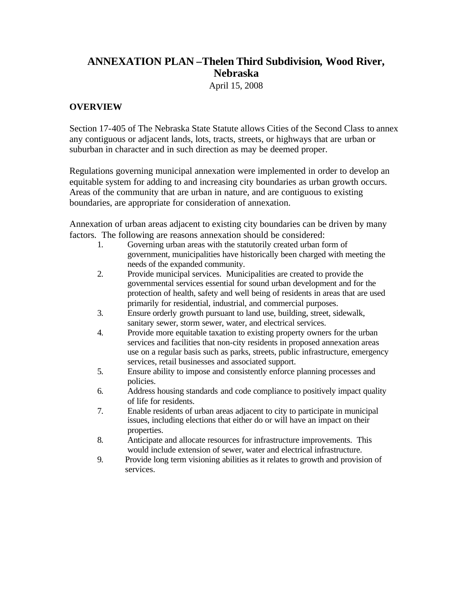# **ANNEXATION PLAN –Thelen Third Subdivision, Wood River, Nebraska**

# April 15, 2008

## **OVERVIEW**

Section 17-405 of The Nebraska State Statute allows Cities of the Second Class to annex any contiguous or adjacent lands, lots, tracts, streets, or highways that are urban or suburban in character and in such direction as may be deemed proper.

Regulations governing municipal annexation were implemented in order to develop an equitable system for adding to and increasing city boundaries as urban growth occurs. Areas of the community that are urban in nature, and are contiguous to existing boundaries, are appropriate for consideration of annexation.

Annexation of urban areas adjacent to existing city boundaries can be driven by many factors. The following are reasons annexation should be considered:

- 1. Governing urban areas with the statutorily created urban form of government, municipalities have historically been charged with meeting the needs of the expanded community.
- 2. Provide municipal services. Municipalities are created to provide the governmental services essential for sound urban development and for the protection of health, safety and well being of residents in areas that are used primarily for residential, industrial, and commercial purposes.
- 3. Ensure orderly growth pursuant to land use, building, street, sidewalk, sanitary sewer, storm sewer, water, and electrical services.
- 4. Provide more equitable taxation to existing property owners for the urban services and facilities that non-city residents in proposed annexation areas use on a regular basis such as parks, streets, public infrastructure, emergency services, retail businesses and associated support.
- 5. Ensure ability to impose and consistently enforce planning processes and policies.
- 6. Address housing standards and code compliance to positively impact quality of life for residents.
- 7. Enable residents of urban areas adjacent to city to participate in municipal issues, including elections that either do or will have an impact on their properties.
- 8. Anticipate and allocate resources for infrastructure improvements. This would include extension of sewer, water and electrical infrastructure.
- 9. Provide long term visioning abilities as it relates to growth and provision of services.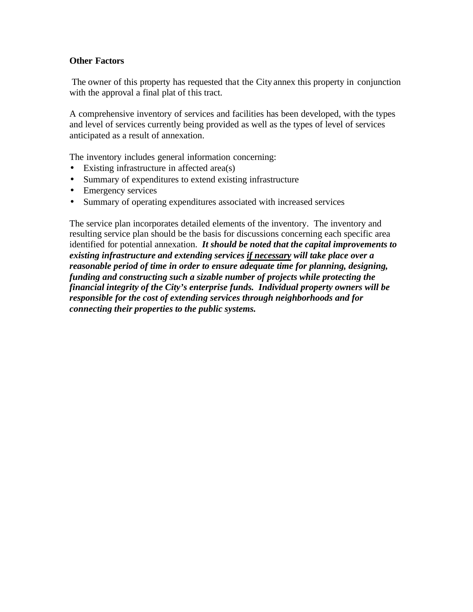#### **Other Factors**

The owner of this property has requested that the City annex this property in conjunction with the approval a final plat of this tract.

A comprehensive inventory of services and facilities has been developed, with the types and level of services currently being provided as well as the types of level of services anticipated as a result of annexation.

The inventory includes general information concerning:

- Existing infrastructure in affected area(s)
- Summary of expenditures to extend existing infrastructure
- Emergency services
- Summary of operating expenditures associated with increased services

The service plan incorporates detailed elements of the inventory. The inventory and resulting service plan should be the basis for discussions concerning each specific area identified for potential annexation. *It should be noted that the capital improvements to existing infrastructure and extending services if necessary will take place over a reasonable period of time in order to ensure adequate time for planning, designing, funding and constructing such a sizable number of projects while protecting the financial integrity of the City's enterprise funds. Individual property owners will be responsible for the cost of extending services through neighborhoods and for connecting their properties to the public systems.*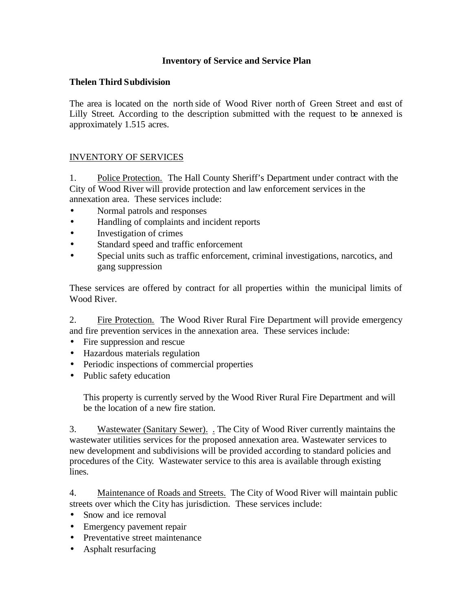### **Inventory of Service and Service Plan**

### **Thelen Third Subdivision**

The area is located on the north side of Wood River north of Green Street and east of Lilly Street. According to the description submitted with the request to be annexed is approximately 1.515 acres.

## INVENTORY OF SERVICES

1. Police Protection. The Hall County Sheriff's Department under contract with the City of Wood River will provide protection and law enforcement services in the annexation area. These services include:

- Normal patrols and responses
- Handling of complaints and incident reports
- Investigation of crimes
- Standard speed and traffic enforcement
- Special units such as traffic enforcement, criminal investigations, narcotics, and gang suppression

These services are offered by contract for all properties within the municipal limits of Wood River.

2. Fire Protection. The Wood River Rural Fire Department will provide emergency and fire prevention services in the annexation area. These services include:

- Fire suppression and rescue
- Hazardous materials regulation
- Periodic inspections of commercial properties
- Public safety education

This property is currently served by the Wood River Rural Fire Department and will be the location of a new fire station.

3. Wastewater (Sanitary Sewer). . The City of Wood River currently maintains the wastewater utilities services for the proposed annexation area. Wastewater services to new development and subdivisions will be provided according to standard policies and procedures of the City. Wastewater service to this area is available through existing lines.

4. Maintenance of Roads and Streets. The City of Wood River will maintain public streets over which the City has jurisdiction. These services include:

- Snow and ice removal
- Emergency pavement repair
- Preventative street maintenance
- Asphalt resurfacing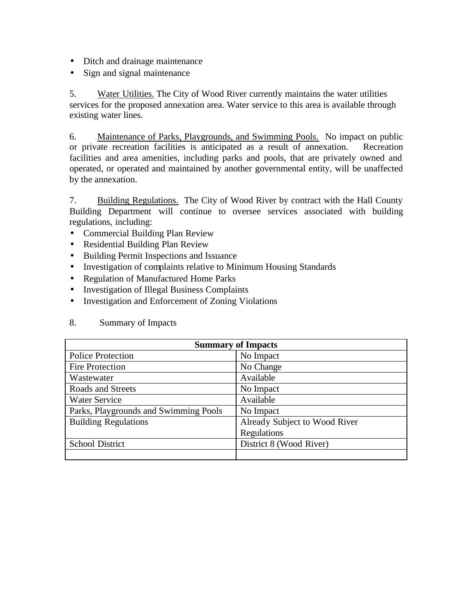- Ditch and drainage maintenance
- Sign and signal maintenance

5. Water Utilities. The City of Wood River currently maintains the water utilities services for the proposed annexation area. Water service to this area is available through existing water lines.

6. Maintenance of Parks, Playgrounds, and Swimming Pools. No impact on public or private recreation facilities is anticipated as a result of annexation. Recreation facilities and area amenities, including parks and pools, that are privately owned and operated, or operated and maintained by another governmental entity, will be unaffected by the annexation.

7. Building Regulations. The City of Wood River by contract with the Hall County Building Department will continue to oversee services associated with building regulations, including:

- Commercial Building Plan Review
- Residential Building Plan Review
- Building Permit Inspections and Issuance
- Investigation of complaints relative to Minimum Housing Standards
- Regulation of Manufactured Home Parks
- Investigation of Illegal Business Complaints
- Investigation and Enforcement of Zoning Violations

| <b>Summary of Impacts</b>             |                               |
|---------------------------------------|-------------------------------|
| <b>Police Protection</b>              | No Impact                     |
| <b>Fire Protection</b>                | No Change                     |
| Wastewater                            | Available                     |
| Roads and Streets                     | No Impact                     |
| <b>Water Service</b>                  | Available                     |
| Parks, Playgrounds and Swimming Pools | No Impact                     |
| <b>Building Regulations</b>           | Already Subject to Wood River |
|                                       | Regulations                   |
| <b>School District</b>                | District 8 (Wood River)       |
|                                       |                               |

8. Summary of Impacts